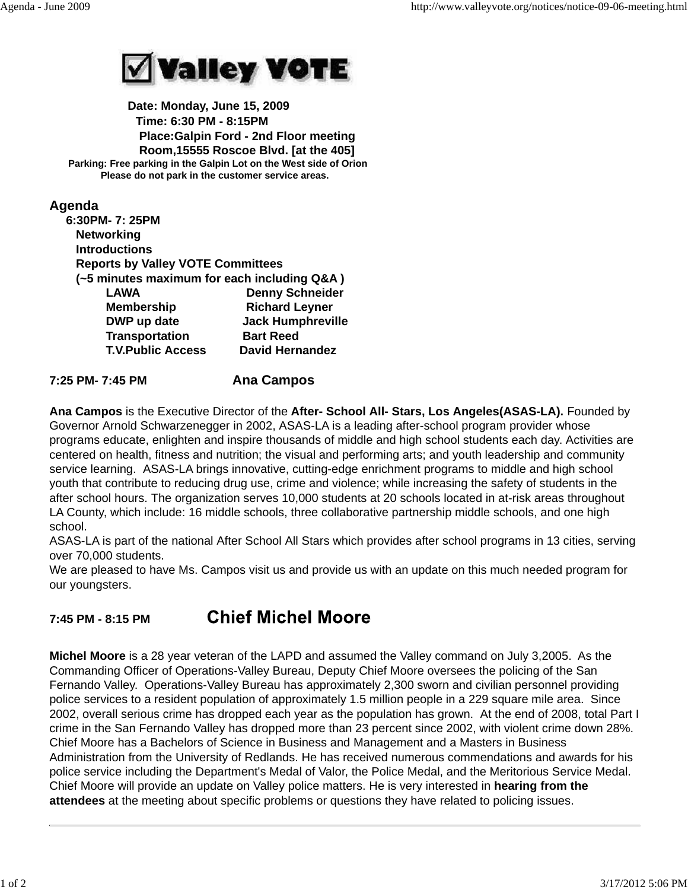

 **Date: Monday, June 15, 2009 Time: 6:30 PM - 8:15PM Place:Galpin Ford - 2nd Floor meeting Room,15555 Roscoe Blvd. [at the 405] Parking: Free parking in the Galpin Lot on the West side of Orion Please do not park in the customer service areas.**

# **Agenda**

| 6:30PM-7:25PM                               |                          |
|---------------------------------------------|--------------------------|
| <b>Networking</b>                           |                          |
| <b>Introductions</b>                        |                          |
| <b>Reports by Valley VOTE Committees</b>    |                          |
| (~5 minutes maximum for each including Q&A) |                          |
| <b>LAWA</b>                                 | <b>Denny Schneider</b>   |
| <b>Membership</b>                           | <b>Richard Leyner</b>    |
| DWP up date                                 | <b>Jack Humphreville</b> |
| <b>Transportation</b>                       | <b>Bart Reed</b>         |
| <b>T.V.Public Access</b>                    | <b>David Hernandez</b>   |
|                                             |                          |

# **7:25 PM- 7:45 PM Ana Campos**

**Ana Campos** is the Executive Director of the **After- School All- Stars, Los Angeles(ASAS-LA).** Founded by Governor Arnold Schwarzenegger in 2002, ASAS-LA is a leading after-school program provider whose programs educate, enlighten and inspire thousands of middle and high school students each day. Activities are centered on health, fitness and nutrition; the visual and performing arts; and youth leadership and community service learning. ASAS-LA brings innovative, cutting-edge enrichment programs to middle and high school youth that contribute to reducing drug use, crime and violence; while increasing the safety of students in the after school hours. The organization serves 10,000 students at 20 schools located in at-risk areas throughout LA County, which include: 16 middle schools, three collaborative partnership middle schools, and one high school.

ASAS-LA is part of the national After School All Stars which provides after school programs in 13 cities, serving over 70,000 students.

We are pleased to have Ms. Campos visit us and provide us with an update on this much needed program for our youngsters.

#### **Chief Michel Moore 7:45 PM - 8:15 PM**

**Michel Moore** is a 28 year veteran of the LAPD and assumed the Valley command on July 3,2005. As the Commanding Officer of Operations-Valley Bureau, Deputy Chief Moore oversees the policing of the San Fernando Valley. Operations-Valley Bureau has approximately 2,300 sworn and civilian personnel providing police services to a resident population of approximately 1.5 million people in a 229 square mile area. Since 2002, overall serious crime has dropped each year as the population has grown. At the end of 2008, total Part I crime in the San Fernando Valley has dropped more than 23 percent since 2002, with violent crime down 28%. Chief Moore has a Bachelors of Science in Business and Management and a Masters in Business Administration from the University of Redlands. He has received numerous commendations and awards for his police service including the Department's Medal of Valor, the Police Medal, and the Meritorious Service Medal. Chief Moore will provide an update on Valley police matters. He is very interested in **hearing from the attendees** at the meeting about specific problems or questions they have related to policing issues.